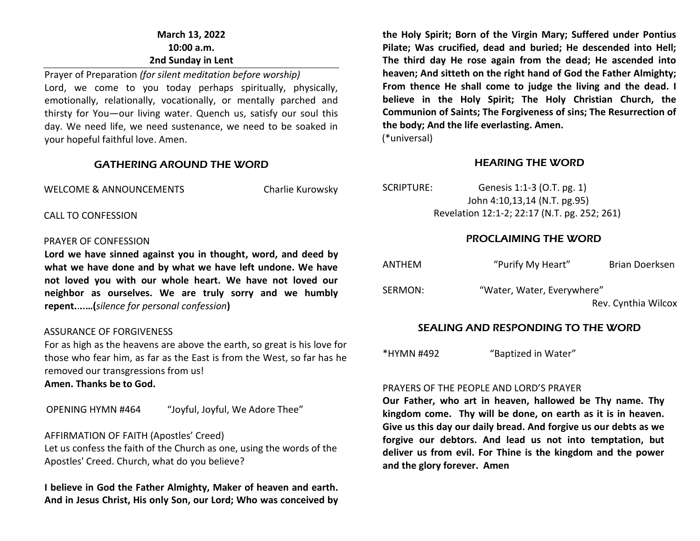# **March 13, 2022 10:00 a.m. 2nd Sunday in Lent**

Prayer of Preparation *(for silent meditation before worship)* Lord, we come to you today perhaps spiritually, physically, emotionally, relationally, vocationally, or mentally parched and thirsty for You—our living water. Quench us, satisfy our soul this day. We need life, we need sustenance, we need to be soaked in your hopeful faithful love. Amen.

#### GATHERING AROUND THE WORD

WELCOME & ANNOUNCEMENTS Charlie Kurowsky

CALL TO CONFESSION

#### PRAYER OF CONFESSION

**Lord we have sinned against you in thought, word, and deed by what we have done and by what we have left undone. We have not loved you with our whole heart. We have not loved our neighbor as ourselves. We are truly sorry and we humbly repent.**.**..…(***silence for personal confession***)**

#### ASSURANCE OF FORGIVENESS

For as high as the heavens are above the earth, so great is his love for those who fear him, as far as the East is from the West, so far has he removed our transgressions from us!

**Amen. Thanks be to God.**

OPENING HYMN #464 "Joyful, Joyful, We Adore Thee"

# AFFIRMATION OF FAITH (Apostles' Creed)

Let us confess the faith of the Church as one, using the words of the Apostles' Creed. Church, what do you believe?

**I believe in God the Father Almighty, Maker of heaven and earth. And in Jesus Christ, His only Son, our Lord; Who was conceived by** 

**the Holy Spirit; Born of the Virgin Mary; Suffered under Pontius Pilate; Was crucified, dead and buried; He descended into Hell; The third day He rose again from the dead; He ascended into heaven; And sitteth on the right hand of God the Father Almighty; From thence He shall come to judge the living and the dead. I believe in the Holy Spirit; The Holy Christian Church, the Communion of Saints; The Forgiveness of sins; The Resurrection of the body; And the life everlasting. Amen.** (\*universal)

# HEARING THE WORD

| SCRIPTURE: | Genesis 1:1-3 (O.T. pg. 1)                   |
|------------|----------------------------------------------|
|            | John 4:10,13,14 (N.T. pg.95)                 |
|            | Revelation 12:1-2; 22:17 (N.T. pg. 252; 261) |

# PROCLAIMING THE WORD

| <b>ANTHEM</b> | "Purify My Heart"          | Brian Doerksen      |
|---------------|----------------------------|---------------------|
| SERMON:       | "Water, Water, Everywhere" | Rev. Cynthia Wilcox |

# SEALING AND RESPONDING TO THE WORD

\*HYMN #492 "Baptized in Water"

#### PRAYERS OF THE PEOPLE AND LORD'S PRAYER

**Our Father, who art in heaven, hallowed be Thy name. Thy kingdom come. Thy will be done, on earth as it is in heaven. Give us this day our daily bread. And forgive us our debts as we forgive our debtors. And lead us not into temptation, but deliver us from evil. For Thine is the kingdom and the power and the glory forever. Amen**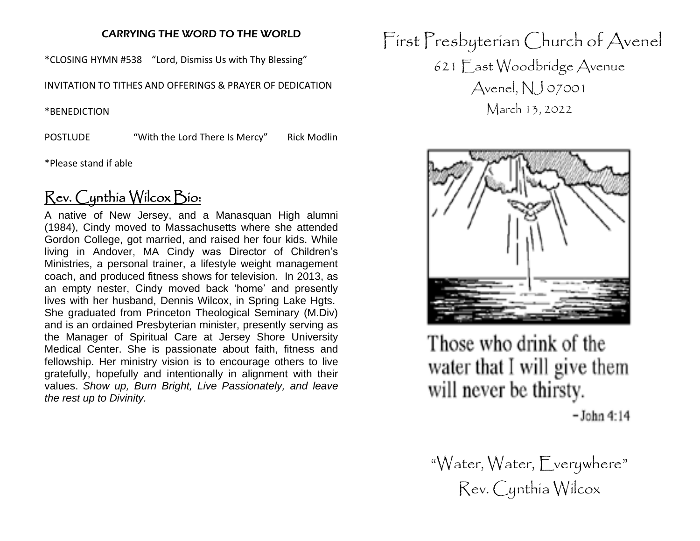# CARRYING THE WORD TO THE WORLD

\*CLOSING HYMN #538 "Lord, Dismiss Us with Thy Blessing"

INVITATION TO TITHES AND OFFERINGS & PRAYER OF DEDICATION

\*BENEDICTION

POSTLUDE "With the Lord There Is Mercy" Rick Modlin

\*Please stand if able

# Rev. Cynthia Wilcox Bio:

A native of New Jersey, and a Manasquan High alumni (1984), Cindy moved to Massachusetts where she attended Gordon College, got married, and raised her four kids. While living in Andover, MA Cindy was Director of Children's Ministries, a personal trainer, a lifestyle weight management coach, and produced fitness shows for television. In 2013, as an empty nester, Cindy moved back 'home' and presently lives with her husband, Dennis Wilcox, in Spring Lake Hgts. She graduated from Princeton Theological Seminary (M.Div) and is an ordained Presbyterian minister, presently serving as the Manager of Spiritual Care at Jersey Shore University Medical Center. She is passionate about faith, fitness and fellowship. Her ministry vision is to encourage others to live gratefully, hopefully and intentionally in alignment with their values. *Show up, Burn Bright, Live Passionately, and leave the rest up to Divinity.*

First Presbyterian Church of Avenel 621 East Woodbridge Avenue Avenel,  $NJ$  07001 March 13, 2022



Those who drink of the water that I will give them will never be thirsty.

 $-$ John 4:14

"Water, Water, Everywhere" Rev. Cynthia Wilcox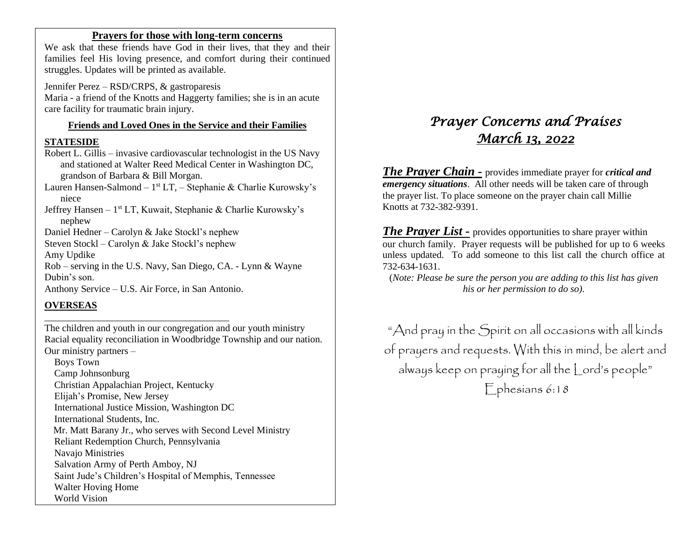#### **Prayers for those with long-term concerns**

We ask that these friends have God in their lives, that they and their families feel His loving presence, and comfort during their continued struggles. Updates will be printed as available.

Jennifer Perez – RSD/CRPS, & gastroparesis Maria - a friend of the Knotts and Haggerty families; she is in an acute care facility for traumatic brain injury.

# **Friends and Loved Ones in the Service and their Families**

#### **STATESIDE**

Robert L. Gillis – invasive cardiovascular technologist in the US Navy and stationed at Walter Reed Medical Center in Washington DC, grandson of Barbara & Bill Morgan.

Lauren Hansen-Salmond – 1<sup>st</sup> LT, – Stephanie & Charlie Kurowsky's niece

Jeffrey Hansen - 1<sup>st</sup> LT, Kuwait, Stephanie & Charlie Kurowsky's nephew

Daniel Hedner – Carolyn & Jake Stockl's nephew

Steven Stockl – Carolyn & Jake Stockl's nephew

Amy Updike

Rob – serving in the U.S. Navy, San Diego, CA. - Lynn & Wayne Dubin's son.

Anthony Service – U.S. Air Force, in San Antonio.

\_\_\_\_\_\_\_\_\_\_\_\_\_\_\_\_\_\_\_\_\_\_\_\_\_\_\_\_\_\_\_\_\_\_\_\_\_\_

# **OVERSEAS**

The children and youth in our congregation and our youth ministry Racial equality reconciliation in Woodbridge Township and our nation. Our ministry partners –

 Boys Town Camp Johnsonburg Christian Appalachian Project, Kentucky Elijah's Promise, New Jersey International Justice Mission, Washington DC International Students, Inc. Mr. Matt Barany Jr., who serves with Second Level Ministry Reliant Redemption Church, Pennsylvania Navajo Ministries Salvation Army of Perth Amboy, NJ Saint Jude's Children's Hospital of Memphis, Tennessee Walter Hoving Home World Vision

# *Prayer Concerns and Praises March 13, 2022*

*The Prayer Chain -* provides immediate prayer for *critical and emergency situations*. All other needs will be taken care of through the prayer list. To place someone on the prayer chain call Millie Knotts at 732-382-9391.

*The Prayer List -* provides opportunities to share prayer within our church family. Prayer requests will be published for up to 6 weeks unless updated. To add someone to this list call the church office at 732-634-1631.

(*Note: Please be sure the person you are adding to this list has given his or her permission to do so).*

"And pray in the Spirit on all occasions with all kinds of prayers and requests. With this in mind, be alert and always keep on praying for all the Lord's people" Ephesians 6:18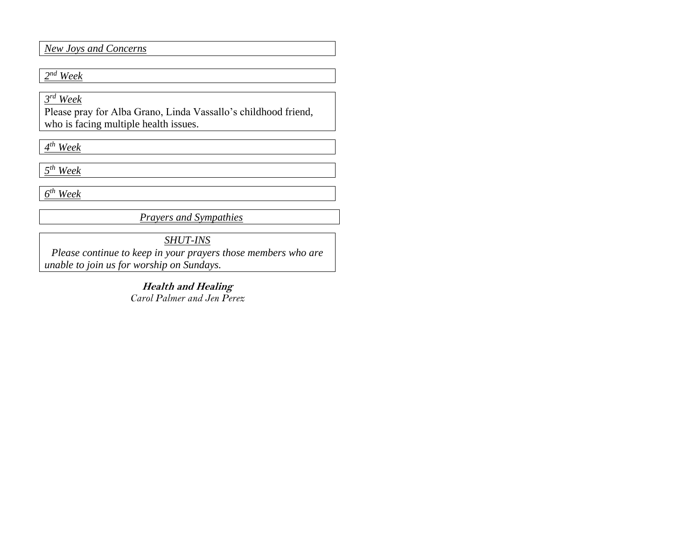#### *New Joys and Concerns*

# *2 nd Week*

*3 rd Week*

Please pray for Alba Grano, Linda Vassallo's childhood friend, who is facing multiple health issues.

*4 th Week*

*5 th Week*

*6 th Week* 

*Prayers and Sympathies*

*SHUT-INS*

*Please continue to keep in your prayers those members who are unable to join us for worship on Sundays.* 

> **Health and Healing** *Carol Palmer and Jen Perez*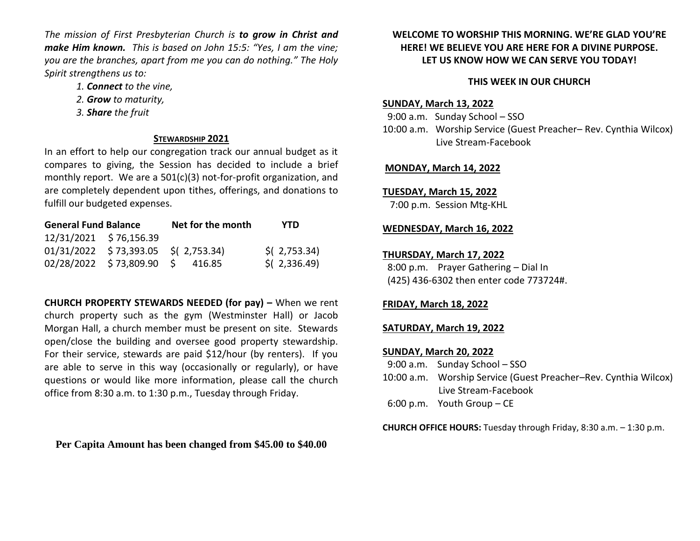*The mission of First Presbyterian Church is to grow in Christ and make Him known. This is based on John 15:5: "Yes, I am the vine; you are the branches, apart from me you can do nothing." The Holy Spirit strengthens us to:* 

- *1. Connect to the vine,*
- *2. Grow to maturity,*
- *3. Share the fruit*

#### **STEWARDSHIP 2021**

In an effort to help our congregation track our annual budget as it compares to giving, the Session has decided to include a brief monthly report. We are a 501(c)(3) not-for-profit organization, and are completely dependent upon tithes, offerings, and donations to fulfill our budgeted expenses.

| <b>General Fund Balance</b> |                                       | Net for the month | YTD            |
|-----------------------------|---------------------------------------|-------------------|----------------|
| 12/31/2021 \$76,156.39      |                                       |                   |                |
|                             | $01/31/2022$ \$73,393.05 \$(2,753.34) |                   | $$$ (2,753.34) |
|                             | 02/28/2022 \$73,809.90 \$ 416.85      |                   | $$$ (2,336.49) |

**CHURCH PROPERTY STEWARDS NEEDED (for pay) –** When we rent church property such as the gym (Westminster Hall) or Jacob Morgan Hall, a church member must be present on site. Stewards open/close the building and oversee good property stewardship. For their service, stewards are paid \$12/hour (by renters). If you are able to serve in this way (occasionally or regularly), or have questions or would like more information, please call the church office from 8:30 a.m. to 1:30 p.m., Tuesday through Friday.

**Per Capita Amount has been changed from \$45.00 to \$40.00**

## **WELCOME TO WORSHIP THIS MORNING. WE'RE GLAD YOU'RE HERE! WE BELIEVE YOU ARE HERE FOR A DIVINE PURPOSE. LET US KNOW HOW WE CAN SERVE YOU TODAY!**

#### **THIS WEEK IN OUR CHURCH**

#### **SUNDAY, March 13, 2022**

 9:00 a.m. Sunday School – SSO 10:00 a.m. Worship Service (Guest Preacher– Rev. Cynthia Wilcox) Live Stream-Facebook

#### **MONDAY, March 14, 2022**

#### **TUESDAY, March 15, 2022**

7:00 p.m. Session Mtg-KHL

#### **WEDNESDAY, March 16, 2022**

#### **THURSDAY, March 17, 2022**

 8:00 p.m. Prayer Gathering – Dial In (425) 436-6302 then enter code 773724#.

#### **FRIDAY, March 18, 2022**

**SATURDAY, March 19, 2022**

#### **SUNDAY, March 20, 2022**

- 9:00 a.m. Sunday School SSO
- 10:00 a.m. Worship Service (Guest Preacher–Rev. Cynthia Wilcox) Live Stream-Facebook
- 6:00 p.m. Youth Group CE

**CHURCH OFFICE HOURS:** Tuesday through Friday, 8:30 a.m. – 1:30 p.m.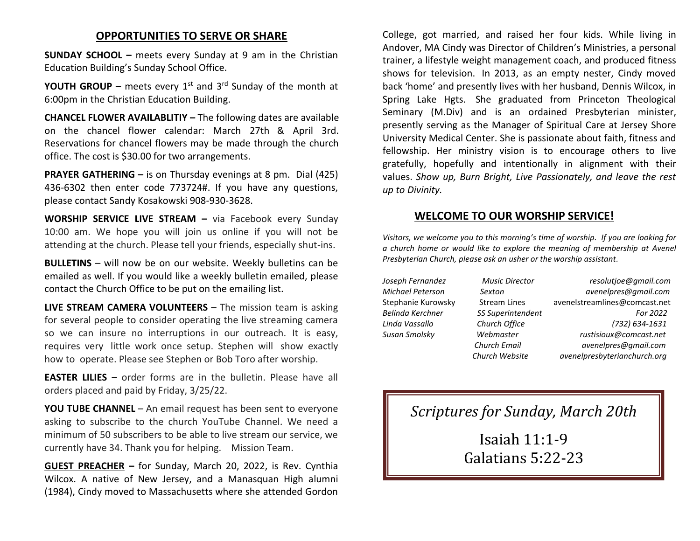# **OPPORTUNITIES TO SERVE OR SHARE**

**SUNDAY SCHOOL –** meets every Sunday at 9 am in the Christian Education Building's Sunday School Office.

**YOUTH GROUP –** meets every  $1^{st}$  and  $3^{rd}$  Sunday of the month at 6:00pm in the Christian Education Building.

**CHANCEL FLOWER AVAILABLITIY –** The following dates are available on the chancel flower calendar: March 27th & April 3rd. Reservations for chancel flowers may be made through the church office. The cost is \$30.00 for two arrangements.

**PRAYER GATHERING –** is on Thursday evenings at 8 pm. Dial (425) 436-6302 then enter code 773724#. If you have any questions, please contact Sandy Kosakowski 908-930-3628.

**WORSHIP SERVICE LIVE STREAM –** via Facebook every Sunday 10:00 am. We hope you will join us online if you will not be attending at the church. Please tell your friends, especially shut-ins.

**BULLETINS** – will now be on our website. Weekly bulletins can be emailed as well. If you would like a weekly bulletin emailed, please contact the Church Office to be put on the emailing list.

**LIVE STREAM CAMERA VOLUNTEERS** – The mission team is asking for several people to consider operating the live streaming camera so we can insure no interruptions in our outreach. It is easy, requires very little work once setup. Stephen will show exactly how to operate. Please see Stephen or Bob Toro after worship.

**EASTER LILIES** – order forms are in the bulletin. Please have all orders placed and paid by Friday, 3/25/22.

**YOU TUBE CHANNEL** – An email request has been sent to everyone asking to subscribe to the church YouTube Channel. We need a minimum of 50 subscribers to be able to live stream our service, we currently have 34. Thank you for helping. Mission Team.

**GUEST PREACHER –** for Sunday, March 20, 2022, is Rev. Cynthia Wilcox. A native of New Jersey, and a Manasquan High alumni (1984), Cindy moved to Massachusetts where she attended Gordon College, got married, and raised her four kids. While living in Andover, MA Cindy was Director of Children's Ministries, a personal trainer, a lifestyle weight management coach, and produced fitness shows for television. In 2013, as an empty nester, Cindy moved back 'home' and presently lives with her husband, Dennis Wilcox, in Spring Lake Hgts. She graduated from Princeton Theological Seminary (M.Div) and is an ordained Presbyterian minister, presently serving as the Manager of Spiritual Care at Jersey Shore University Medical Center. She is passionate about faith, fitness and fellowship. Her ministry vision is to encourage others to live gratefully, hopefully and intentionally in alignment with their values. *Show up, Burn Bright, Live Passionately, and leave the rest up to Divinity.*

# **WELCOME TO OUR WORSHIP SERVICE!**

*Visitors, we welcome you to this morning's time of worship. If you are looking for a church home or would like to explore the meaning of membership at Avenel Presbyterian Church, please ask an usher or the worship assistant.* 

*Joseph Fernandez Music Director resolutjoe@gmail.com Michael Peterson Sexton avenelpres@gmail.com* Stephanie Kurowsky Stream Lines [avenelstreamlines@comcast.net](mailto:avenelstreamlines@comcast.net) *Belinda Kerchner SS Superintendent For 2022 Linda Vassallo Church Office (732) 634-1631 Susan Smolsky Webmaster rustisioux@comcast.net Church Email avenelpres@gmail.com Church Website avenelpresbyterianchurch.org*

*Scriptures for Sunday, March 20th*

Isaiah 11:1-9 Galatians 5:22-23